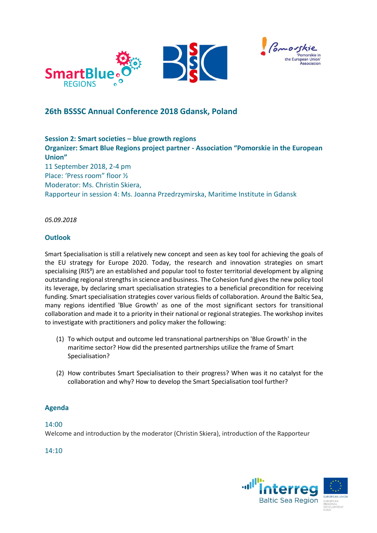



# **26th BSSSC Annual Conference 2018 Gdansk, Poland**

**Session 2: Smart societies – blue growth regions Organizer: Smart Blue Regions project partner - Association "Pomorskie in the European Union"** 11 September 2018, 2-4 pm Place: 'Press room" floor ½ Moderator: Ms. Christin Skiera, Rapporteur in session 4: Ms. Joanna Przedrzymirska, Maritime Institute in Gdansk

#### *05.09.2018*

## **Outlook**

Smart Specialisation is still a relatively new concept and seen as key tool for achieving the goals of the EU strategy for Europe 2020. Today, the research and innovation strategies on smart specialising (RIS<sup>3</sup>) are an established and popular tool to foster territorial development by aligning outstanding regional strengths in science and business. The Cohesion fund gives the new policy tool its leverage, by declaring smart specialisation strategies to a beneficial precondition for receiving funding. Smart specialisation strategies cover various fields of collaboration. Around the Baltic Sea, many regions identified 'Blue Growth' as one of the most significant sectors for transitional collaboration and made it to a priority in their national or regional strategies. The workshop invites to investigate with practitioners and policy maker the following:

- (1) To which output and outcome led transnational partnerships on 'Blue Growth' in the maritime sector? How did the presented partnerships utilize the frame of Smart Specialisation?
- (2) How contributes Smart Specialisation to their progress? When was it no catalyst for the collaboration and why? How to develop the Smart Specialisation tool further?

## **Agenda**

## 14:00

Welcome and introduction by the moderator (Christin Skiera), introduction of the Rapporteur

14:10